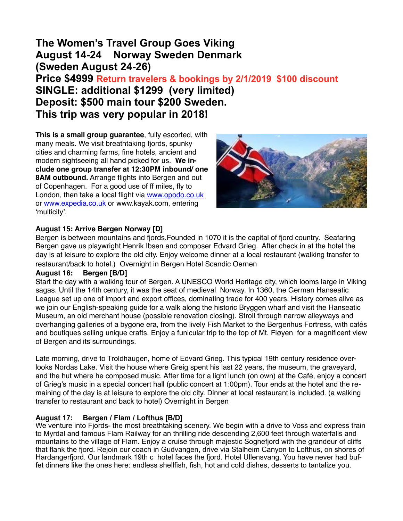# **The Women's Travel Group Goes Viking August 14-24 Norway Sweden Denmark (Sweden August 24-26)**

**Price \$4999 Return travelers & bookings by 2/1/2019 \$100 discount SINGLE: additional \$1299 (very limited) Deposit: \$500 main tour \$200 Sweden. This trip was very popular in 2018!**

**This is a small group guarantee**, fully escorted, with many meals. We visit breathtaking fjords, spunky cities and charming farms, fine hotels, ancient and modern sightseeing all hand picked for us. **We include one group transfer at 12:30PM inbound/ one 8AM outbound.** Arrange flights into Bergen and out of Copenhagen. For a good use of ff miles, fly to London, then take a local flight via [www.opodo.co.uk](http://www.opodo.co.uk) or [www.expedia.co.uk](http://www.expedia.co.uk) or www.kayak.com, entering 'multicity'.



# **August 15: Arrive Bergen Norway [D]**

Bergen is between mountains and fjords.Founded in 1070 it is the capital of fjord country. Seafaring Bergen gave us playwright Henrik Ibsen and composer Edvard Grieg. After check in at the hotel the day is at leisure to explore the old city. Enjoy welcome dinner at a local restaurant (walking transfer to restaurant/back to hotel.) Overnight in Bergen Hotel Scandic Oernen

## **August 16: Bergen [B/D]**

Start the day with a walking tour of Bergen. A UNESCO World Heritage city, which looms large in Viking sagas. Until the 14th century, it was the seat of medieval Norway. In 1360, the German Hanseatic League set up one of import and export offices, dominating trade for 400 years. History comes alive as we join our English-speaking guide for a walk along the historic Bryggen wharf and visit the Hanseatic Museum, an old merchant house (possible renovation closing). Stroll through narrow alleyways and overhanging galleries of a bygone era, from the lively Fish Market to the Bergenhus Fortress, with cafés and boutiques selling unique crafts. Enjoy a funicular trip to the top of Mt. Fløyen for a magnificent view of Bergen and its surroundings.

Late morning, drive to Troldhaugen, home of Edvard Grieg. This typical 19th century residence overlooks Nordas Lake. Visit the house where Greig spent his last 22 years, the museum, the graveyard, and the hut where he composed music. After time for a light lunch (on own) at the Café, enjoy a concert of Grieg's music in a special concert hall (public concert at 1:00pm). Tour ends at the hotel and the remaining of the day is at leisure to explore the old city. Dinner at local restaurant is included. (a walking transfer to restaurant and back to hotel) Overnight in Bergen

## **August 17: Bergen / Flam / Lofthus [B/D]**

We venture into Fjords- the most breathtaking scenery. We begin with a drive to Voss and express train to Myrdal and famous Flam Railway for an thrilling ride descending 2,600 feet through waterfalls and mountains to the village of Flam. Enjoy a cruise through majestic Sognefjord with the grandeur of cliffs that flank the fjord. Rejoin our coach in Gudvangen, drive via Stalheim Canyon to Lofthus, on shores of Hardangerfjord. Our landmark 19th c hotel faces the fjord. Hotel Ullensvang. You have never had buffet dinners like the ones here: endless shellfish, fish, hot and cold dishes, desserts to tantalize you.